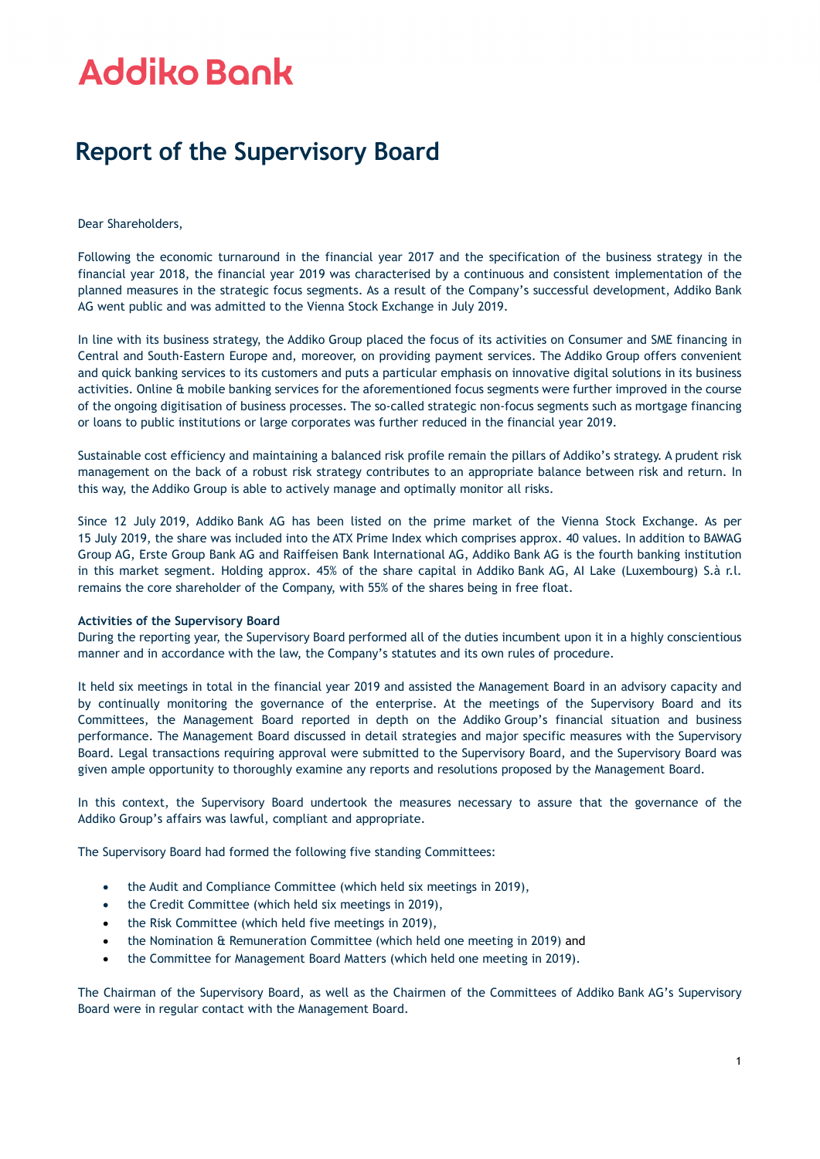## **Addiko Bank**

### **Report of the Supervisory Board**

### Dear Shareholders,

Following the economic turnaround in the financial year 2017 and the specification of the business strategy in the financial year 2018, the financial year 2019 was characterised by a continuous and consistent implementation of the planned measures in the strategic focus segments. As a result of the Company's successful development, Addiko Bank AG went public and was admitted to the Vienna Stock Exchange in July 2019.

In line with its business strategy, the Addiko Group placed the focus of its activities on Consumer and SME financing in Central and South-Eastern Europe and, moreover, on providing payment services. The Addiko Group offers convenient and quick banking services to its customers and puts a particular emphasis on innovative digital solutions in its business activities. Online & mobile banking services for the aforementioned focus segments were further improved in the course of the ongoing digitisation of business processes. The so-called strategic non-focus segments such as mortgage financing or loans to public institutions or large corporates was further reduced in the financial year 2019.

Sustainable cost efficiency and maintaining a balanced risk profile remain the pillars of Addiko's strategy. A prudent risk management on the back of a robust risk strategy contributes to an appropriate balance between risk and return. In this way, the Addiko Group is able to actively manage and optimally monitor all risks.

Since 12 July 2019, Addiko Bank AG has been listed on the prime market of the Vienna Stock Exchange. As per 15 July 2019, the share was included into the ATX Prime Index which comprises approx. 40 values. In addition to BAWAG Group AG, Erste Group Bank AG and Raiffeisen Bank International AG, Addiko Bank AG is the fourth banking institution in this market segment. Holding approx. 45% of the share capital in Addiko Bank AG, AI Lake (Luxembourg) S.à r.l. remains the core shareholder of the Company, with 55% of the shares being in free float.

### **Activities of the Supervisory Board**

During the reporting year, the Supervisory Board performed all of the duties incumbent upon it in a highly conscientious manner and in accordance with the law, the Company's statutes and its own rules of procedure.

It held six meetings in total in the financial year 2019 and assisted the Management Board in an advisory capacity and by continually monitoring the governance of the enterprise. At the meetings of the Supervisory Board and its Committees, the Management Board reported in depth on the Addiko Group's financial situation and business performance. The Management Board discussed in detail strategies and major specific measures with the Supervisory Board. Legal transactions requiring approval were submitted to the Supervisory Board, and the Supervisory Board was given ample opportunity to thoroughly examine any reports and resolutions proposed by the Management Board.

In this context, the Supervisory Board undertook the measures necessary to assure that the governance of the Addiko Group's affairs was lawful, compliant and appropriate.

The Supervisory Board had formed the following five standing Committees:

- the Audit and Compliance Committee (which held six meetings in 2019),
- the Credit Committee (which held six meetings in 2019),
- the Risk Committee (which held five meetings in 2019),
- the Nomination & Remuneration Committee (which held one meeting in 2019) and
- the Committee for Management Board Matters (which held one meeting in 2019).

The Chairman of the Supervisory Board, as well as the Chairmen of the Committees of Addiko Bank AG's Supervisory Board were in regular contact with the Management Board.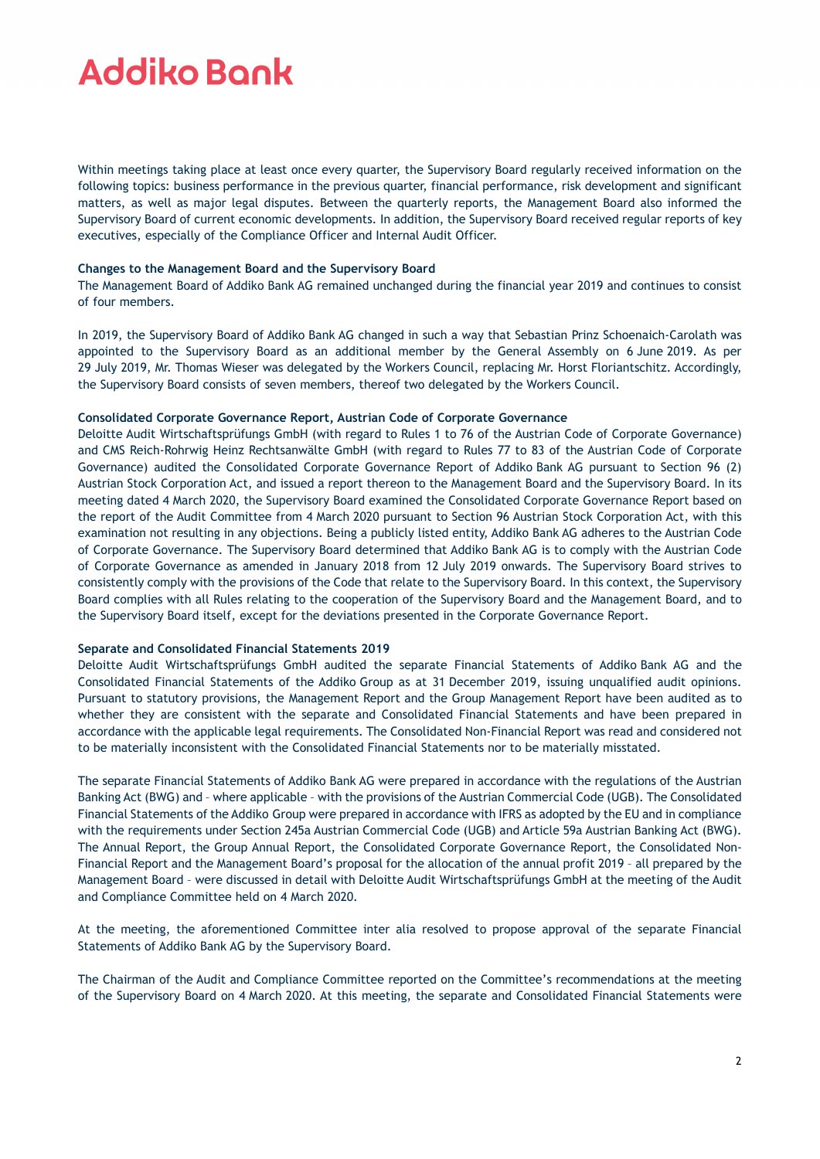## **Addiko Bank**

Within meetings taking place at least once every quarter, the Supervisory Board regularly received information on the following topics: business performance in the previous quarter, financial performance, risk development and significant matters, as well as major legal disputes. Between the quarterly reports, the Management Board also informed the Supervisory Board of current economic developments. In addition, the Supervisory Board received regular reports of key executives, especially of the Compliance Officer and Internal Audit Officer.

### **Changes to the Management Board and the Supervisory Board**

The Management Board of Addiko Bank AG remained unchanged during the financial year 2019 and continues to consist of four members.

In 2019, the Supervisory Board of Addiko Bank AG changed in such a way that Sebastian Prinz Schoenaich-Carolath was appointed to the Supervisory Board as an additional member by the General Assembly on 6 June 2019. As per 29 July 2019, Mr. Thomas Wieser was delegated by the Workers Council, replacing Mr. Horst Floriantschitz. Accordingly, the Supervisory Board consists of seven members, thereof two delegated by the Workers Council.

#### **Consolidated Corporate Governance Report, Austrian Code of Corporate Governance**

Deloitte Audit Wirtschaftsprüfungs GmbH (with regard to Rules 1 to 76 of the Austrian Code of Corporate Governance) and CMS Reich-Rohrwig Heinz Rechtsanwälte GmbH (with regard to Rules 77 to 83 of the Austrian Code of Corporate Governance) audited the Consolidated Corporate Governance Report of Addiko Bank AG pursuant to Section 96 (2) Austrian Stock Corporation Act, and issued a report thereon to the Management Board and the Supervisory Board. In its meeting dated 4 March 2020, the Supervisory Board examined the Consolidated Corporate Governance Report based on the report of the Audit Committee from 4 March 2020 pursuant to Section 96 Austrian Stock Corporation Act, with this examination not resulting in any objections. Being a publicly listed entity, Addiko Bank AG adheres to the Austrian Code of Corporate Governance. The Supervisory Board determined that Addiko Bank AG is to comply with the Austrian Code of Corporate Governance as amended in January 2018 from 12 July 2019 onwards. The Supervisory Board strives to consistently comply with the provisions of the Code that relate to the Supervisory Board. In this context, the Supervisory Board complies with all Rules relating to the cooperation of the Supervisory Board and the Management Board, and to the Supervisory Board itself, except for the deviations presented in the Corporate Governance Report.

### **Separate and Consolidated Financial Statements 2019**

Deloitte Audit Wirtschaftsprüfungs GmbH audited the separate Financial Statements of Addiko Bank AG and the Consolidated Financial Statements of the Addiko Group as at 31 December 2019, issuing unqualified audit opinions. Pursuant to statutory provisions, the Management Report and the Group Management Report have been audited as to whether they are consistent with the separate and Consolidated Financial Statements and have been prepared in accordance with the applicable legal requirements. The Consolidated Non-Financial Report was read and considered not to be materially inconsistent with the Consolidated Financial Statements nor to be materially misstated.

The separate Financial Statements of Addiko Bank AG were prepared in accordance with the regulations of the Austrian Banking Act (BWG) and – where applicable – with the provisions of the Austrian Commercial Code (UGB). The Consolidated Financial Statements of the Addiko Group were prepared in accordance with IFRS as adopted by the EU and in compliance with the requirements under Section 245a Austrian Commercial Code (UGB) and Article 59a Austrian Banking Act (BWG). The Annual Report, the Group Annual Report, the Consolidated Corporate Governance Report, the Consolidated Non-Financial Report and the Management Board's proposal for the allocation of the annual profit 2019 – all prepared by the Management Board – were discussed in detail with Deloitte Audit Wirtschaftsprüfungs GmbH at the meeting of the Audit and Compliance Committee held on 4 March 2020.

At the meeting, the aforementioned Committee inter alia resolved to propose approval of the separate Financial Statements of Addiko Bank AG by the Supervisory Board.

The Chairman of the Audit and Compliance Committee reported on the Committee's recommendations at the meeting of the Supervisory Board on 4 March 2020. At this meeting, the separate and Consolidated Financial Statements were